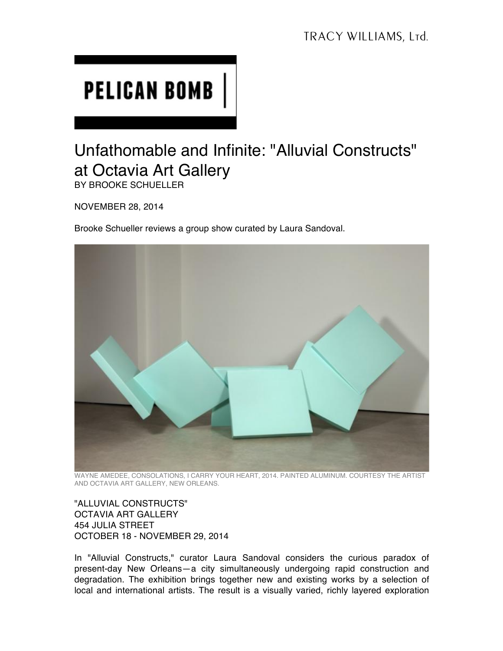## **PELICAN BOMB**

## Unfathomable and Infinite: "Alluvial Constructs" at Octavia Art Gallery

BY BROOKE SCHUELLER

NOVEMBER 28, 2014

Brooke Schueller reviews a group show curated by Laura Sandoval.



WAYNE AMEDEE, CONSOLATIONS, I CARRY YOUR HEART, 2014. PAINTED ALUMINUM. COURTESY THE ARTIST AND OCTAVIA ART GALLERY, NEW ORLEANS.

"ALLUVIAL CONSTRUCTS" OCTAVIA ART GALLERY 454 JULIA STREET OCTOBER 18 - NOVEMBER 29, 2014

In "Alluvial Constructs," curator Laura Sandoval considers the curious paradox of present-day New Orleans—a city simultaneously undergoing rapid construction and degradation. The exhibition brings together new and existing works by a selection of local and international artists. The result is a visually varied, richly layered exploration